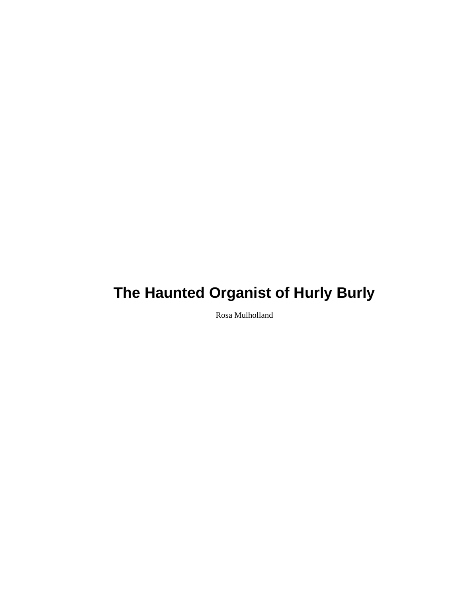Rosa Mulholland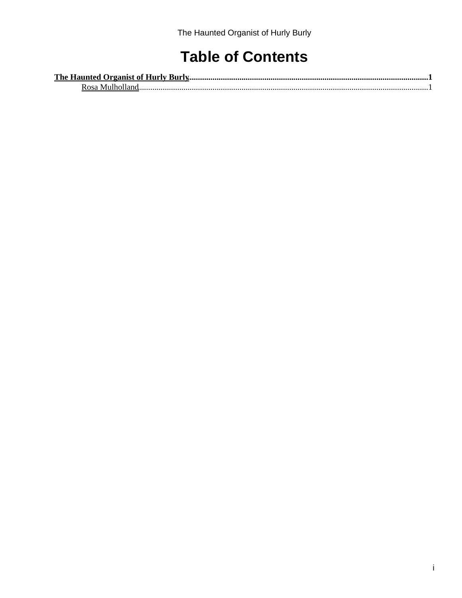### **Table of Contents**

| Rosa Mulholland |  |
|-----------------|--|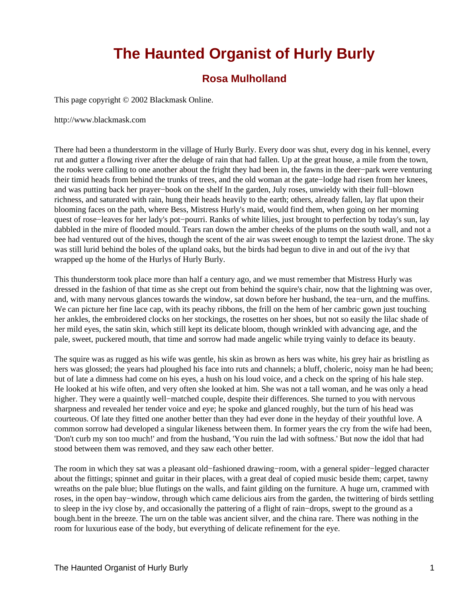### **Rosa Mulholland**

<span id="page-2-1"></span><span id="page-2-0"></span>This page copyright © 2002 Blackmask Online.

http://www.blackmask.com

There had been a thunderstorm in the village of Hurly Burly. Every door was shut, every dog in his kennel, every rut and gutter a flowing river after the deluge of rain that had fallen. Up at the great house, a mile from the town, the rooks were calling to one another about the fright they had been in, the fawns in the deer−park were venturing their timid heads from behind the trunks of trees, and the old woman at the gate−lodge had risen from her knees, and was putting back her prayer−book on the shelf In the garden, July roses, unwieldy with their full−blown richness, and saturated with rain, hung their heads heavily to the earth; others, already fallen, lay flat upon their blooming faces on the path, where Bess, Mistress Hurly's maid, would find them, when going on her morning quest of rose−leaves for her lady's pot−pourri. Ranks of white lilies, just brought to perfection by today's sun, lay dabbled in the mire of flooded mould. Tears ran down the amber cheeks of the plums on the south wall, and not a bee had ventured out of the hives, though the scent of the air was sweet enough to tempt the laziest drone. The sky was still lurid behind the boles of the upland oaks, but the birds had begun to dive in and out of the ivy that wrapped up the home of the Hurlys of Hurly Burly.

This thunderstorm took place more than half a century ago, and we must remember that Mistress Hurly was dressed in the fashion of that time as she crept out from behind the squire's chair, now that the lightning was over, and, with many nervous glances towards the window, sat down before her husband, the tea−urn, and the muffins. We can picture her fine lace cap, with its peachy ribbons, the frill on the hem of her cambric gown just touching her ankles, the embroidered clocks on her stockings, the rosettes on her shoes, but not so easily the lilac shade of her mild eyes, the satin skin, which still kept its delicate bloom, though wrinkled with advancing age, and the pale, sweet, puckered mouth, that time and sorrow had made angelic while trying vainly to deface its beauty.

The squire was as rugged as his wife was gentle, his skin as brown as hers was white, his grey hair as bristling as hers was glossed; the years had ploughed his face into ruts and channels; a bluff, choleric, noisy man he had been; but of late a dimness had come on his eyes, a hush on his loud voice, and a check on the spring of his hale step. He looked at his wife often, and very often she looked at him. She was not a tall woman, and he was only a head higher. They were a quaintly well−matched couple, despite their differences. She turned to you with nervous sharpness and revealed her tender voice and eye; he spoke and glanced roughly, but the turn of his head was courteous. Of late they fitted one another better than they had ever done in the heyday of their youthful love. A common sorrow had developed a singular likeness between them. In former years the cry from the wife had been, 'Don't curb my son too much!' and from the husband, 'You ruin the lad with softness.' But now the idol that had stood between them was removed, and they saw each other better.

The room in which they sat was a pleasant old−fashioned drawing−room, with a general spider−legged character about the fittings; spinnet and guitar in their places, with a great deal of copied music beside them; carpet, tawny wreaths on the pale blue; blue flutings on the walls, and faint gilding on the furniture. A huge urn, crammed with roses, in the open bay−window, through which came delicious airs from the garden, the twittering of birds settling to sleep in the ivy close by, and occasionally the pattering of a flight of rain−drops, swept to the ground as a bough.bent in the breeze. The urn on the table was ancient silver, and the china rare. There was nothing in the room for luxurious ease of the body, but everything of delicate refinement for the eye.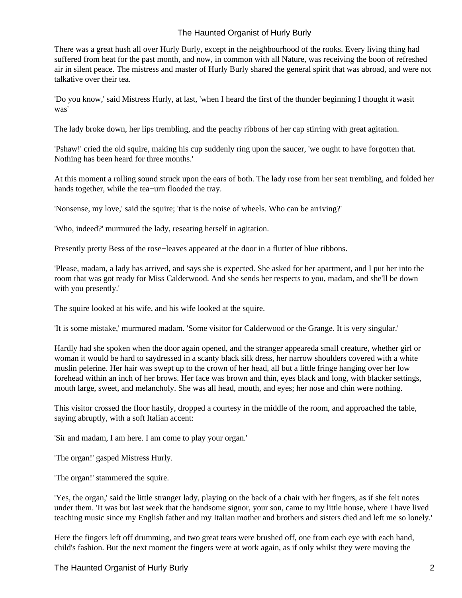There was a great hush all over Hurly Burly, except in the neighbourhood of the rooks. Every living thing had suffered from heat for the past month, and now, in common with all Nature, was receiving the boon of refreshed air in silent peace. The mistress and master of Hurly Burly shared the general spirit that was abroad, and were not talkative over their tea.

'Do you know,' said Mistress Hurly, at last, 'when I heard the first of the thunder beginning I thought it wasit was'

The lady broke down, her lips trembling, and the peachy ribbons of her cap stirring with great agitation.

'Pshaw!' cried the old squire, making his cup suddenly ring upon the saucer, 'we ought to have forgotten that. Nothing has been heard for three months.'

At this moment a rolling sound struck upon the ears of both. The lady rose from her seat trembling, and folded her hands together, while the tea−urn flooded the tray.

'Nonsense, my love,' said the squire; 'that is the noise of wheels. Who can be arriving?'

'Who, indeed?' murmured the lady, reseating herself in agitation.

Presently pretty Bess of the rose−leaves appeared at the door in a flutter of blue ribbons.

'Please, madam, a lady has arrived, and says she is expected. She asked for her apartment, and I put her into the room that was got ready for Miss Calderwood. And she sends her respects to you, madam, and she'll be down with you presently.'

The squire looked at his wife, and his wife looked at the squire.

'It is some mistake,' murmured madam. 'Some visitor for Calderwood or the Grange. It is very singular.'

Hardly had she spoken when the door again opened, and the stranger appeareda small creature, whether girl or woman it would be hard to saydressed in a scanty black silk dress, her narrow shoulders covered with a white muslin pelerine. Her hair was swept up to the crown of her head, all but a little fringe hanging over her low forehead within an inch of her brows. Her face was brown and thin, eyes black and long, with blacker settings, mouth large, sweet, and melancholy. She was all head, mouth, and eyes; her nose and chin were nothing.

This visitor crossed the floor hastily, dropped a courtesy in the middle of the room, and approached the table, saying abruptly, with a soft Italian accent:

'Sir and madam, I am here. I am come to play your organ.'

'The organ!' gasped Mistress Hurly.

'The organ!' stammered the squire.

'Yes, the organ,' said the little stranger lady, playing on the back of a chair with her fingers, as if she felt notes under them. 'It was but last week that the handsome signor, your son, came to my little house, where I have lived teaching music since my English father and my Italian mother and brothers and sisters died and left me so lonely.'

Here the fingers left off drumming, and two great tears were brushed off, one from each eye with each hand, child's fashion. But the next moment the fingers were at work again, as if only whilst they were moving the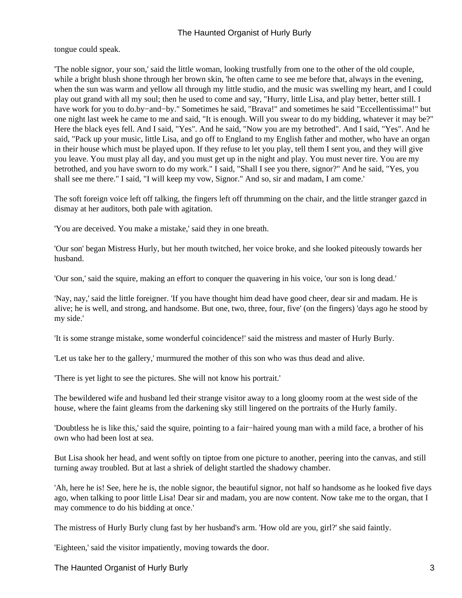tongue could speak.

'The noble signor, your son,' said the little woman, looking trustfully from one to the other of the old couple, while a bright blush shone through her brown skin, 'he often came to see me before that, always in the evening, when the sun was warm and yellow all through my little studio, and the music was swelling my heart, and I could play out grand with all my soul; then he used to come and say, "Hurry, little Lisa, and play better, better still. I have work for you to do.by−and−by." Sometimes he said, "Brava!" and sometimes he said "Eccellentissima!" but one night last week he came to me and said, "It is enough. Will you swear to do my bidding, whatever it may be?" Here the black eyes fell. And I said, "Yes". And he said, "Now you are my betrothed". And I said, "Yes". And he said, "Pack up your music, little Lisa, and go off to England to my English father and mother, who have an organ in their house which must be played upon. If they refuse to let you play, tell them I sent you, and they will give you leave. You must play all day, and you must get up in the night and play. You must never tire. You are my betrothed, and you have sworn to do my work." I said, "Shall I see you there, signor?" And he said, "Yes, you shall see me there." I said, "I will keep my vow, Signor." And so, sir and madam, I am come.'

The soft foreign voice left off talking, the fingers left off thrumming on the chair, and the little stranger gazcd in dismay at her auditors, both pale with agitation.

'You are deceived. You make a mistake,' said they in one breath.

'Our son' began Mistress Hurly, but her mouth twitched, her voice broke, and she looked piteously towards her husband.

'Our son,' said the squire, making an effort to conquer the quavering in his voice, 'our son is long dead.'

'Nay, nay,' said the little foreigner. 'If you have thought him dead have good cheer, dear sir and madam. He is alive; he is well, and strong, and handsome. But one, two, three, four, five' (on the fingers) 'days ago he stood by my side.'

'It is some strange mistake, some wonderful coincidence!' said the mistress and master of Hurly Burly.

'Let us take her to the gallery,' murmured the mother of this son who was thus dead and alive.

'There is yet light to see the pictures. She will not know his portrait.'

The bewildered wife and husband led their strange visitor away to a long gloomy room at the west side of the house, where the faint gleams from the darkening sky still lingered on the portraits of the Hurly family.

'Doubtless he is like this,' said the squire, pointing to a fair−haired young man with a mild face, a brother of his own who had been lost at sea.

But Lisa shook her head, and went softly on tiptoe from one picture to another, peering into the canvas, and still turning away troubled. But at last a shriek of delight startled the shadowy chamber.

'Ah, here he is! See, here he is, the noble signor, the beautiful signor, not half so handsome as he looked five days ago, when talking to poor little Lisa! Dear sir and madam, you are now content. Now take me to the organ, that I may commence to do his bidding at once.'

The mistress of Hurly Burly clung fast by her husband's arm. 'How old are you, girl?' she said faintly.

'Eighteen,' said the visitor impatiently, moving towards the door.

The Haunted Organist of Hurly Burly 3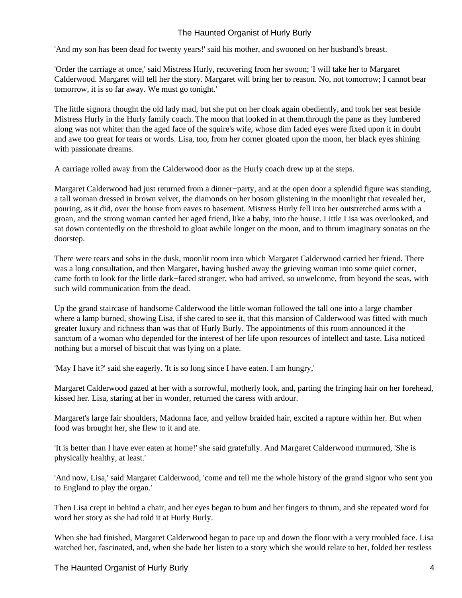'And my son has been dead for twenty years!' said his mother, and swooned on her husband's breast.

'Order the carriage at once,' said Mistress Hurly, recovering from her swoon; 'I will take her to Margaret Calderwood. Margaret will tell her the story. Margaret will bring her to reason. No, not tomorrow; I cannot bear tomorrow, it is so far away. We must go tonight.'

The little signora thought the old lady mad, but she put on her cloak again obediently, and took her seat beside Mistress Hurly in the Hurly family coach. The moon that looked in at them.through the pane as they lumbered along was not whiter than the aged face of the squire's wife, whose dim faded eyes were fixed upon it in doubt and awe too great for tears or words. Lisa, too, from her corner gloated upon the moon, her black eyes shining with passionate dreams.

A carriage rolled away from the Calderwood door as the Hurly coach drew up at the steps.

Margaret Calderwood had just returned from a dinner−party, and at the open door a splendid figure was standing, a tall woman dressed in brown velvet, the diamonds on her bosom glistening in the moonlight that revealed her, pouring, as it did, over the house from eaves to basement. Mistress Hurly fell into her outstretched arms with a groan, and the strong woman carried her aged friend, like a baby, into the house. Little Lisa was overlooked, and sat down contentedly on the threshold to gloat awhile longer on the moon, and to thrum imaginary sonatas on the doorstep.

There were tears and sobs in the dusk, moonlit room into which Margaret Calderwood carried her friend. There was a long consultation, and then Margaret, having hushed away the grieving woman into some quiet corner, came forth to look for the little dark−faced stranger, who had arrived, so unwelcome, from beyond the seas, with such wild communication from the dead.

Up the grand staircase of handsome Calderwood the little woman followed the tall one into a large chamber where a lamp burned, showing Lisa, if she cared to see it, that this mansion of Calderwood was fitted with much greater luxury and richness than was that of Hurly Burly. The appointments of this room announced it the sanctum of a woman who depended for the interest of her life upon resources of intellect and taste. Lisa noticed nothing but a morsel of biscuit that was lying on a plate.

'May I have it?' said she eagerly. 'It is so long since I have eaten. I am hungry,'

Margaret Calderwood gazed at her with a sorrowful, motherly look, and, parting the fringing hair on her forehead, kissed her. Lisa, staring at her in wonder, returned the caress with ardour.

Margaret's large fair shoulders, Madonna face, and yellow braided hair, excited a rapture within her. But when food was brought her, she flew to it and ate.

'It is better than I have ever eaten at home!' she said gratefully. And Margaret Calderwood murmured, 'She is physically healthy, at least.'

'And now, Lisa,' said Margaret Calderwood, 'come and tell me the whole history of the grand signor who sent you to England to play the organ.'

Then Lisa crept in behind a chair, and her eyes began to bum and her fingers to thrum, and she repeated word for word her story as she had told it at Hurly Burly.

When she had finished, Margaret Calderwood began to pace up and down the floor with a very troubled face. Lisa watched her, fascinated, and, when she bade her listen to a story which she would relate to her, folded her restless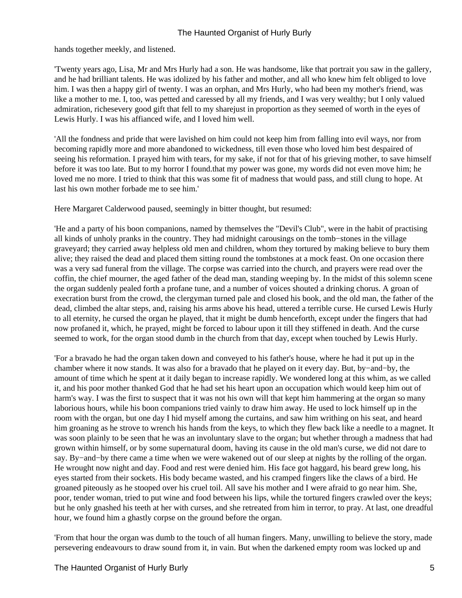hands together meekly, and listened.

'Twenty years ago, Lisa, Mr and Mrs Hurly had a son. He was handsome, like that portrait you saw in the gallery, and he had brilliant talents. He was idolized by his father and mother, and all who knew him felt obliged to love him. I was then a happy girl of twenty. I was an orphan, and Mrs Hurly, who had been my mother's friend, was like a mother to me. I, too, was petted and caressed by all my friends, and I was very wealthy; but I only valued admiration, riches every good gift that fell to my share just in proportion as they seemed of worth in the eyes of Lewis Hurly. I was his affianced wife, and I loved him well.

'All the fondness and pride that were lavished on him could not keep him from falling into evil ways, nor from becoming rapidly more and more abandoned to wickedness, till even those who loved him best despaired of seeing his reformation. I prayed him with tears, for my sake, if not for that of his grieving mother, to save himself before it was too late. But to my horror I found.that my power was gone, my words did not even move him; he loved me no more. I tried to think that this was some fit of madness that would pass, and still clung to hope. At last his own mother forbade me to see him.'

Here Margaret Calderwood paused, seemingly in bitter thought, but resumed:

'He and a party of his boon companions, named by themselves the "Devil's Club", were in the habit of practising all kinds of unholy pranks in the country. They had midnight carousings on the tomb−stones in the village graveyard; they carried away helpless old men and children, whom they tortured by making believe to bury them alive; they raised the dead and placed them sitting round the tombstones at a mock feast. On one occasion there was a very sad funeral from the village. The corpse was carried into the church, and prayers were read over the coffin, the chief mourner, the aged father of the dead man, standing weeping by. In the midst of this solemn scene the organ suddenly pealed forth a profane tune, and a number of voices shouted a drinking chorus. A groan of execration burst from the crowd, the clergyman turned pale and closed his book, and the old man, the father of the dead, climbed the altar steps, and, raising his arms above his head, uttered a terrible curse. He cursed Lewis Hurly to all eternity, he cursed the organ he played, that it might be dumb henceforth, except under the fingers that had now profaned it, which, he prayed, might be forced to labour upon it till they stiffened in death. And the curse seemed to work, for the organ stood dumb in the church from that day, except when touched by Lewis Hurly.

'For a bravado he had the organ taken down and conveyed to his father's house, where he had it put up in the chamber where it now stands. It was also for a bravado that he played on it every day. But, by−and−by, the amount of time which he spent at it daily began to increase rapidly. We wondered long at this whim, as we called it, and his poor mother thanked God that he had set his heart upon an occupation which would keep him out of harm's way. I was the first to suspect that it was not his own will that kept him hammering at the organ so many laborious hours, while his boon companions tried vainly to draw him away. He used to lock himself up in the room with the organ, but one day I hid myself among the curtains, and saw him writhing on his seat, and heard him groaning as he strove to wrench his hands from the keys, to which they flew back like a needle to a magnet. It was soon plainly to be seen that he was an involuntary slave to the organ; but whether through a madness that had grown within himself, or by some supernatural doom, having its cause in the old man's curse, we did not dare to say. By−and−by there came a time when we were wakened out of our sleep at nights by the rolling of the organ. He wrought now night and day. Food and rest were denied him. His face got haggard, his beard grew long, his eyes started from their sockets. His body became wasted, and his cramped fingers like the claws of a bird. He groaned piteously as he stooped over his cruel toil. All save his mother and I were afraid to go near him. She, poor, tender woman, tried to put wine and food between his lips, while the tortured fingers crawled over the keys; but he only gnashed his teeth at her with curses, and she retreated from him in terror, to pray. At last, one dreadful hour, we found him a ghastly corpse on the ground before the organ.

'From that hour the organ was dumb to the touch of all human fingers. Many, unwilling to believe the story, made persevering endeavours to draw sound from it, in vain. But when the darkened empty room was locked up and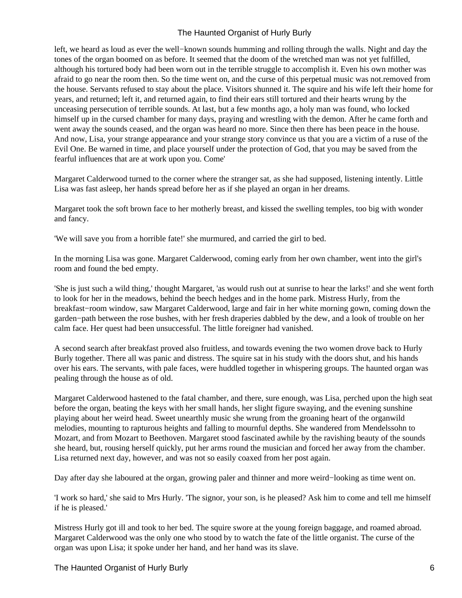left, we heard as loud as ever the well−known sounds humming and rolling through the walls. Night and day the tones of the organ boomed on as before. It seemed that the doom of the wretched man was not yet fulfilled, although his tortured body had been worn out in the terrible struggle to accomplish it. Even his own mother was afraid to go near the room then. So the time went on, and the curse of this perpetual music was not.removed from the house. Servants refused to stay about the place. Visitors shunned it. The squire and his wife left their home for years, and returned; left it, and returned again, to find their ears still tortured and their hearts wrung by the unceasing persecution of terrible sounds. At last, but a few months ago, a holy man was found, who locked himself up in the cursed chamber for many days, praying and wrestling with the demon. After he came forth and went away the sounds ceased, and the organ was heard no more. Since then there has been peace in the house. And now, Lisa, your strange appearance and your strange story convince us that you are a victim of a ruse of the Evil One. Be warned in time, and place yourself under the protection of God, that you may be saved from the fearful influences that are at work upon you. Come'

Margaret Calderwood turned to the corner where the stranger sat, as she had supposed, listening intently. Little Lisa was fast asleep, her hands spread before her as if she played an organ in her dreams.

Margaret took the soft brown face to her motherly breast, and kissed the swelling temples, too big with wonder and fancy.

'We will save you from a horrible fate!' she murmured, and carried the girl to bed.

In the morning Lisa was gone. Margaret Calderwood, coming early from her own chamber, went into the girl's room and found the bed empty.

'She is just such a wild thing,' thought Margaret, 'as would rush out at sunrise to hear the larks!' and she went forth to look for her in the meadows, behind the beech hedges and in the home park. Mistress Hurly, from the breakfast−room window, saw Margaret Calderwood, large and fair in her white morning gown, coming down the garden−path between the rose bushes, with her fresh draperies dabbled by the dew, and a look of trouble on her calm face. Her quest had been unsuccessful. The little foreigner had vanished.

A second search after breakfast proved also fruitless, and towards evening the two women drove back to Hurly Burly together. There all was panic and distress. The squire sat in his study with the doors shut, and his hands over his ears. The servants, with pale faces, were huddled together in whispering groups. The haunted organ was pealing through the house as of old.

Margaret Calderwood hastened to the fatal chamber, and there, sure enough, was Lisa, perched upon the high seat before the organ, beating the keys with her small hands, her slight figure swaying, and the evening sunshine playing about her weird head. Sweet unearthly music she wrung from the groaning heart of the organwild melodies, mounting to rapturous heights and falling to mournful depths. She wandered from Mendelssohn to Mozart, and from Mozart to Beethoven. Margaret stood fascinated awhile by the ravishing beauty of the sounds she heard, but, rousing herself quickly, put her arms round the musician and forced her away from the chamber. Lisa returned next day, however, and was not so easily coaxed from her post again.

Day after day she laboured at the organ, growing paler and thinner and more weird−looking as time went on.

'I work so hard,' she said to Mrs Hurly. 'The signor, your son, is he pleased? Ask him to come and tell me himself if he is pleased.'

Mistress Hurly got ill and took to her bed. The squire swore at the young foreign baggage, and roamed abroad. Margaret Calderwood was the only one who stood by to watch the fate of the little organist. The curse of the organ was upon Lisa; it spoke under her hand, and her hand was its slave.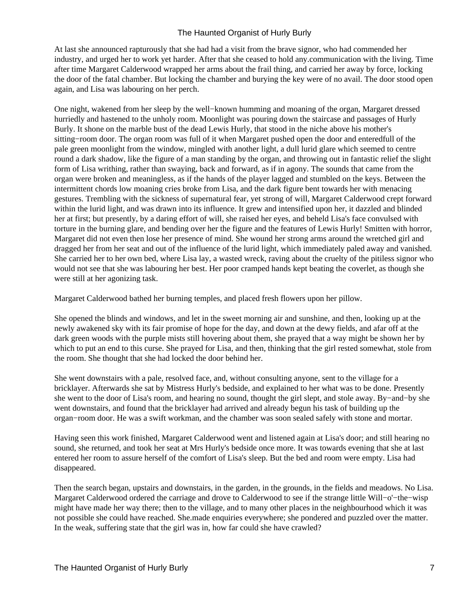At last she announced rapturously that she had had a visit from the brave signor, who had commended her industry, and urged her to work yet harder. After that she ceased to hold any.communication with the living. Time after time Margaret Calderwood wrapped her arms about the frail thing, and carried her away by force, locking the door of the fatal chamber. But locking the chamber and burying the key were of no avail. The door stood open again, and Lisa was labouring on her perch.

One night, wakened from her sleep by the well−known humming and moaning of the organ, Margaret dressed hurriedly and hastened to the unholy room. Moonlight was pouring down the staircase and passages of Hurly Burly. It shone on the marble bust of the dead Lewis Hurly, that stood in the niche above his mother's sitting−room door. The organ room was full of it when Margaret pushed open the door and enteredfull of the pale green moonlight from the window, mingled with another light, a dull lurid glare which seemed to centre round a dark shadow, like the figure of a man standing by the organ, and throwing out in fantastic relief the slight form of Lisa writhing, rather than swaying, back and forward, as if in agony. The sounds that came from the organ were broken and meaningless, as if the hands of the player lagged and stumbled on the keys. Between the intermittent chords low moaning cries broke from Lisa, and the dark figure bent towards her with menacing gestures. Trembling with the sickness of supernatural fear, yet strong of will, Margaret Calderwood crept forward within the lurid light, and was drawn into its influence. It grew and intensified upon her, it dazzled and blinded her at first; but presently, by a daring effort of will, she raised her eyes, and beheld Lisa's face convulsed with torture in the burning glare, and bending over her the figure and the features of Lewis Hurly! Smitten with horror, Margaret did not even then lose her presence of mind. She wound her strong arms around the wretched girl and dragged her from her seat and out of the influence of the lurid light, which immediately paled away and vanished. She carried her to her own bed, where Lisa lay, a wasted wreck, raving about the cruelty of the pitiless signor who would not see that she was labouring her best. Her poor cramped hands kept beating the coverlet, as though she were still at her agonizing task.

Margaret Calderwood bathed her burning temples, and placed fresh flowers upon her pillow.

She opened the blinds and windows, and let in the sweet morning air and sunshine, and then, looking up at the newly awakened sky with its fair promise of hope for the day, and down at the dewy fields, and afar off at the dark green woods with the purple mists still hovering about them, she prayed that a way might be shown her by which to put an end to this curse. She prayed for Lisa, and then, thinking that the girl rested somewhat, stole from the room. She thought that she had locked the door behind her.

She went downstairs with a pale, resolved face, and, without consulting anyone, sent to the village for a bricklayer. Afterwards she sat by Mistress Hurly's bedside, and explained to her what was to be done. Presently she went to the door of Lisa's room, and hearing no sound, thought the girl slept, and stole away. By−and−by she went downstairs, and found that the bricklayer had arrived and already begun his task of building up the organ−room door. He was a swift workman, and the chamber was soon sealed safely with stone and mortar.

Having seen this work finished, Margaret Calderwood went and listened again at Lisa's door; and still hearing no sound, she returned, and took her seat at Mrs Hurly's bedside once more. It was towards evening that she at last entered her room to assure herself of the comfort of Lisa's sleep. But the bed and room were empty. Lisa had disappeared.

Then the search began, upstairs and downstairs, in the garden, in the grounds, in the fields and meadows. No Lisa. Margaret Calderwood ordered the carriage and drove to Calderwood to see if the strange little Will−o'−the−wisp might have made her way there; then to the village, and to many other places in the neighbourhood which it was not possible she could have reached. She.made enquiries everywhere; she pondered and puzzled over the matter. In the weak, suffering state that the girl was in, how far could she have crawled?